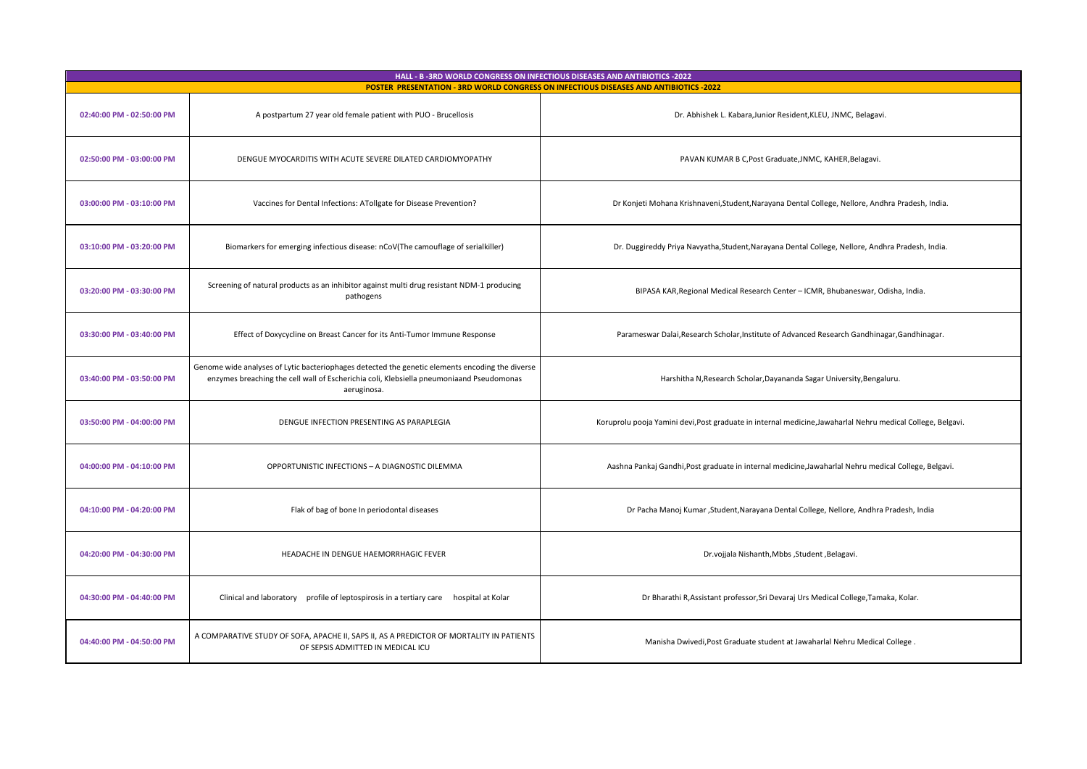| HALL - B-3RD WORLD CONGRESS ON INFECTIOUS DISEASES AND ANTIBIOTICS -2022<br>POSTER PRESENTATION - 3RD WORLD CONGRESS ON INFECTIOUS DISEASES AND ANTIBIOTICS -2022 |                                                                                                                                                                                                            |                                                                                                             |
|-------------------------------------------------------------------------------------------------------------------------------------------------------------------|------------------------------------------------------------------------------------------------------------------------------------------------------------------------------------------------------------|-------------------------------------------------------------------------------------------------------------|
| 02:40:00 PM - 02:50:00 PM                                                                                                                                         | A postpartum 27 year old female patient with PUO - Brucellosis                                                                                                                                             | Dr. Abhishek L. Kabara, Junior Resident, KLEU, JNMC, Belagavi.                                              |
| 02:50:00 PM - 03:00:00 PM                                                                                                                                         | DENGUE MYOCARDITIS WITH ACUTE SEVERE DILATED CARDIOMYOPATHY                                                                                                                                                | PAVAN KUMAR B C, Post Graduate, JNMC, KAHER, Belagavi.                                                      |
| 03:00:00 PM - 03:10:00 PM                                                                                                                                         | Vaccines for Dental Infections: ATollgate for Disease Prevention?                                                                                                                                          | Dr Konjeti Mohana Krishnaveni, Student, Narayana Dental College, Nellore, Andhra Pradesh, India.            |
| 03:10:00 PM - 03:20:00 PM                                                                                                                                         | Biomarkers for emerging infectious disease: nCoV(The camouflage of serialkiller)                                                                                                                           | Dr. Duggireddy Priya Navyatha, Student, Narayana Dental College, Nellore, Andhra Pradesh, India.            |
| 03:20:00 PM - 03:30:00 PM                                                                                                                                         | Screening of natural products as an inhibitor against multi drug resistant NDM-1 producing<br>pathogens                                                                                                    | BIPASA KAR, Regional Medical Research Center - ICMR, Bhubaneswar, Odisha, India.                            |
| 03:30:00 PM - 03:40:00 PM                                                                                                                                         | Effect of Doxycycline on Breast Cancer for its Anti-Tumor Immune Response                                                                                                                                  | Parameswar Dalai, Research Scholar, Institute of Advanced Research Gandhinagar, Gandhinagar.                |
| 03:40:00 PM - 03:50:00 PM                                                                                                                                         | Genome wide analyses of Lytic bacteriophages detected the genetic elements encoding the diverse<br>enzymes breaching the cell wall of Escherichia coli, Klebsiella pneumoniaand Pseudomonas<br>aeruginosa. | Harshitha N, Research Scholar, Dayananda Sagar University, Bengaluru.                                       |
| 03:50:00 PM - 04:00:00 PM                                                                                                                                         | DENGUE INFECTION PRESENTING AS PARAPLEGIA                                                                                                                                                                  | Koruprolu pooja Yamini devi, Post graduate in internal medicine, Jawaharlal Nehru medical College, Belgavi. |
| 04:00:00 PM - 04:10:00 PM                                                                                                                                         | OPPORTUNISTIC INFECTIONS - A DIAGNOSTIC DILEMMA                                                                                                                                                            | Aashna Pankaj Gandhi, Post graduate in internal medicine, Jawaharlal Nehru medical College, Belgavi.        |
| 04:10:00 PM - 04:20:00 PM                                                                                                                                         | Flak of bag of bone In periodontal diseases                                                                                                                                                                | Dr Pacha Manoj Kumar , Student, Narayana Dental College, Nellore, Andhra Pradesh, India                     |
| 04:20:00 PM - 04:30:00 PM                                                                                                                                         | HEADACHE IN DENGUE HAEMORRHAGIC FEVER                                                                                                                                                                      | Dr.vojjala Nishanth, Mbbs, Student, Belagavi.                                                               |
| 04:30:00 PM - 04:40:00 PM                                                                                                                                         | Clinical and laboratory profile of leptospirosis in a tertiary care hospital at Kolar                                                                                                                      | Dr Bharathi R, Assistant professor, Sri Devaraj Urs Medical College, Tamaka, Kolar.                         |
| 04:40:00 PM - 04:50:00 PM                                                                                                                                         | A COMPARATIVE STUDY OF SOFA, APACHE II, SAPS II, AS A PREDICTOR OF MORTALITY IN PATIENTS<br>OF SEPSIS ADMITTED IN MEDICAL ICU                                                                              | Manisha Dwivedi, Post Graduate student at Jawaharlal Nehru Medical College.                                 |